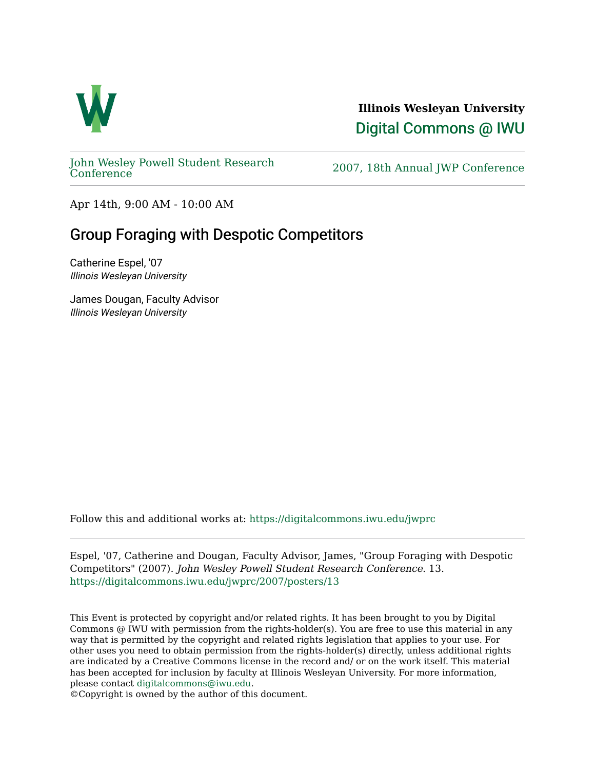

**Illinois Wesleyan University**  [Digital Commons @ IWU](https://digitalcommons.iwu.edu/) 

[John Wesley Powell Student Research](https://digitalcommons.iwu.edu/jwprc) 

2007, 18th Annual JWP [Conference](https://digitalcommons.iwu.edu/jwprc)

Apr 14th, 9:00 AM - 10:00 AM

## Group Foraging with Despotic Competitors

Catherine Espel, '07 Illinois Wesleyan University

James Dougan, Faculty Advisor Illinois Wesleyan University

Follow this and additional works at: [https://digitalcommons.iwu.edu/jwprc](https://digitalcommons.iwu.edu/jwprc?utm_source=digitalcommons.iwu.edu%2Fjwprc%2F2007%2Fposters%2F13&utm_medium=PDF&utm_campaign=PDFCoverPages) 

Espel, '07, Catherine and Dougan, Faculty Advisor, James, "Group Foraging with Despotic Competitors" (2007). John Wesley Powell Student Research Conference. 13. [https://digitalcommons.iwu.edu/jwprc/2007/posters/13](https://digitalcommons.iwu.edu/jwprc/2007/posters/13?utm_source=digitalcommons.iwu.edu%2Fjwprc%2F2007%2Fposters%2F13&utm_medium=PDF&utm_campaign=PDFCoverPages)

This Event is protected by copyright and/or related rights. It has been brought to you by Digital Commons @ IWU with permission from the rights-holder(s). You are free to use this material in any way that is permitted by the copyright and related rights legislation that applies to your use. For other uses you need to obtain permission from the rights-holder(s) directly, unless additional rights are indicated by a Creative Commons license in the record and/ or on the work itself. This material has been accepted for inclusion by faculty at Illinois Wesleyan University. For more information, please contact [digitalcommons@iwu.edu.](mailto:digitalcommons@iwu.edu)

©Copyright is owned by the author of this document.